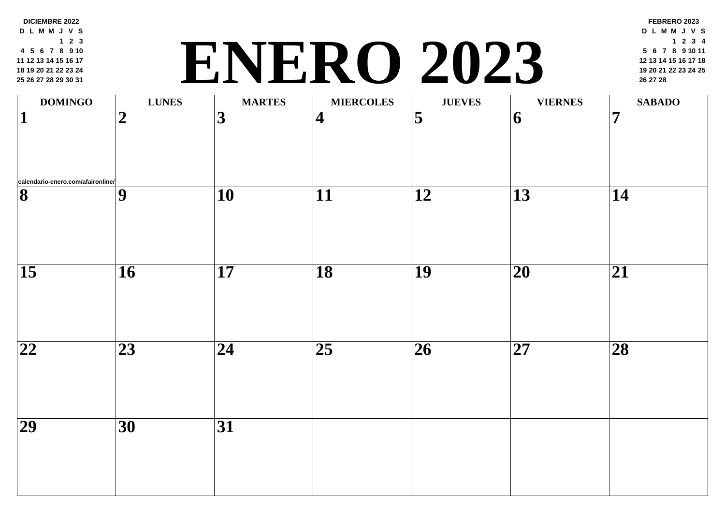| <b>DOMINGO</b>                    | <b>LUNES</b>     | <b>MARTES</b>   | <b>MIERCOLES</b>        | <b>JUEVES</b>   |                 |
|-----------------------------------|------------------|-----------------|-------------------------|-----------------|-----------------|
| 1                                 | $\boldsymbol{2}$ | 3               | $\overline{\mathbf{4}}$ | 5               | 6               |
| calendario-enero.com/afaironline/ |                  |                 |                         |                 |                 |
| $\overline{\mathbf{8}}$           | 9                | 10              | 11                      | 12              | 13              |
| $\overline{\mathbf{15}}$          | 16               | 17              | $\overline{18}$         | $\overline{19}$ | 20              |
|                                   |                  |                 |                         |                 |                 |
| 22                                | 23               | 24              | 25                      | 26              | $\overline{27}$ |
| $\overline{29}$                   | $\overline{30}$  | $\overline{31}$ |                         |                 |                 |

**DICIEMBRE 2022 D L M M J V S 2 3 5 6 7 8 9 10 12 13 14 15 16 17 19 20 21 22 23 24 26 27 28 29 30 31**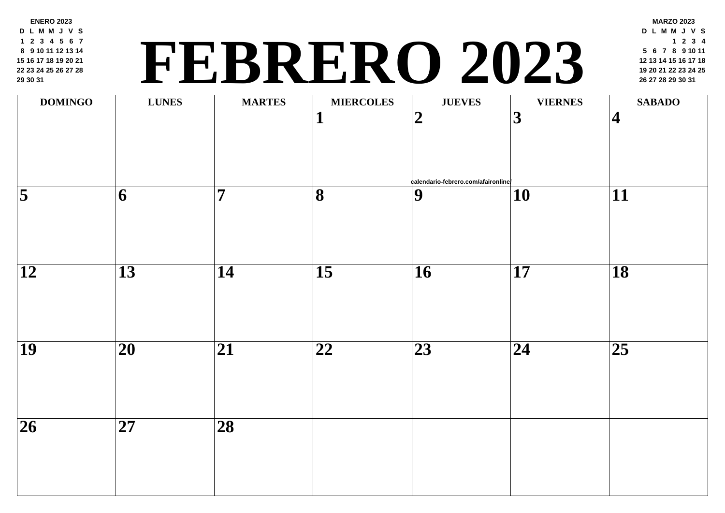**ENERO 2023 D L M M J V S 2 3 4 5 6 7 9 10 11 12 13 14 16 17 18 19 20 21 23 24 25 26 27 28 30 31**

## **<sup>19</sup> <sup>20</sup> <sup>21</sup> <sup>22</sup> <sup>23</sup> <sup>24</sup> <sup>25</sup> FEBRERO 2023 <sup>26</sup> <sup>27</sup> <sup>28</sup> <sup>29</sup> <sup>30</sup> <sup>31</sup>**

| <b>DOMINGO</b>          | <b>LUNES</b>    | <b>MARTES</b>                | <b>MIERCOLES</b>        | <b>JUEVES</b>                                         |                          |
|-------------------------|-----------------|------------------------------|-------------------------|-------------------------------------------------------|--------------------------|
|                         |                 |                              | $\mathbf{1}$            | $\overline{2}$<br>calendario-febrero.com/afaironline/ | $\overline{\mathbf{3}}$  |
| $\overline{\mathbf{5}}$ | $\overline{6}$  | $\overline{\mathbf{7}}$      | $\overline{\mathbf{8}}$ | $\overline{9}$                                        | $\overline{\mathbf{10}}$ |
| $\overline{12}$         | $\overline{13}$ | $\overline{14}$              | $\overline{15}$         | $\overline{16}$                                       | $\overline{\mathbf{17}}$ |
| $\overline{19}$         | $\overline{20}$ | $\overline{\boldsymbol{21}}$ | $\overline{22}$         | $\overline{23}$                                       | $\overline{24}$          |
| $\overline{26}$         | $\overline{27}$ | $\overline{28}$              |                         |                                                       |                          |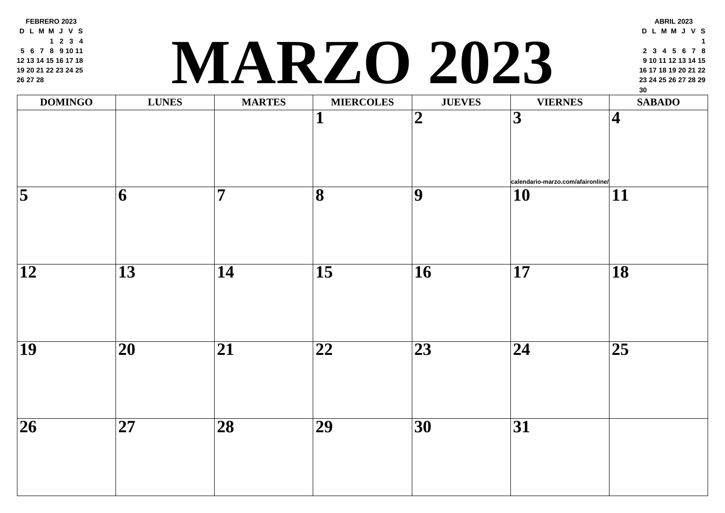**FEBRERO 2023 D L M M J V S 2 3 4 6 7 8 9 10 11 13 14 15 16 17 18 20 21 22 23 24 25 27 28**

# **<sup>23</sup> <sup>24</sup> <sup>25</sup> <sup>26</sup> <sup>27</sup> <sup>28</sup> <sup>29</sup> MARZO 2023**

| <b>DOMINGO</b>      | <b>LUNES</b>             | <b>MARTES</b>   | <b>MIERCOLES</b>         | <b>JUEVES</b>   |                          |
|---------------------|--------------------------|-----------------|--------------------------|-----------------|--------------------------|
|                     |                          |                 | $\overline{\mathbf{1}}$  | $\overline{2}$  | $\overline{3}$           |
| $\overline{\bf{5}}$ | $\overline{\mathbf{6}}$  | $\overline{7}$  | $\overline{\mathbf{8}}$  | $\overline{9}$  | $\frac{1}{10}$           |
| $\overline{12}$     | $\overline{13}$          | $\overline{14}$ | $\overline{\mathbf{15}}$ | $\overline{16}$ | $\overline{\mathbf{17}}$ |
| $\overline{19}$     | $\overline{\mathbf{20}}$ | $\overline{21}$ | $\overline{\mathbf{22}}$ | $\overline{23}$ | $\overline{24}$          |
| $\overline{26}$     | $\overline{27}$          | $\overline{28}$ | $\overline{29}$          | $\overline{30}$ | $\overline{31}$          |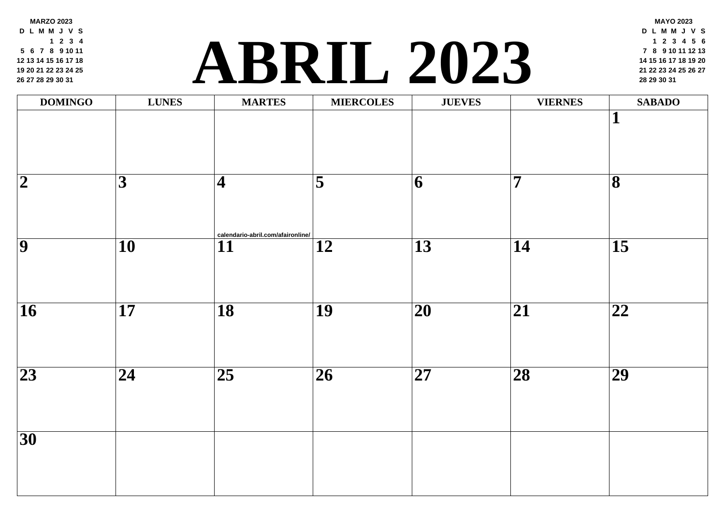**MARZO 2023 D L M M J V S 2 3 4 6 7 8 9 10 11 13 14 15 16 17 18 20 21 22 23 24 25 27 28 29 30 31**

### **<sup>21</sup> <sup>22</sup> <sup>23</sup> <sup>24</sup> <sup>25</sup> <sup>26</sup> <sup>27</sup> [ABR](http://calendario-abril.com/afaironline/)IL 2023 <sup>28</sup> <sup>29</sup> <sup>30</sup> <sup>31</sup>**

| <b>DOMINGO</b>  | <b>LUNES</b>             | <b>MARTES</b>                                        | <b>MIERCOLES</b>         | <b>JUEVES</b>            |                         |
|-----------------|--------------------------|------------------------------------------------------|--------------------------|--------------------------|-------------------------|
|                 |                          |                                                      |                          |                          |                         |
| $\overline{2}$  | $\overline{\mathbf{3}}$  | $\overline{\mathbf{4}}$                              | $\overline{\bf{5}}$      | $\overline{\mathbf{6}}$  | $\overline{\mathbf{7}}$ |
| $\overline{9}$  | $\overline{\mathbf{10}}$ | calendario-abril.com/afaironline/<br>$\overline{11}$ | $\overline{\mathbf{12}}$ | $\overline{13}$          | 14                      |
| $\overline{16}$ | $\overline{\mathbf{17}}$ | $\overline{18}$                                      | $\overline{19}$          | $\overline{\mathbf{20}}$ | $\overline{21}$         |
| $\overline{23}$ | $\overline{24}$          | $\overline{25}$                                      | $\overline{26}$          | $\overline{27}$          | $\overline{28}$         |
| $\overline{30}$ |                          |                                                      |                          |                          |                         |
|                 |                          |                                                      |                          |                          |                         |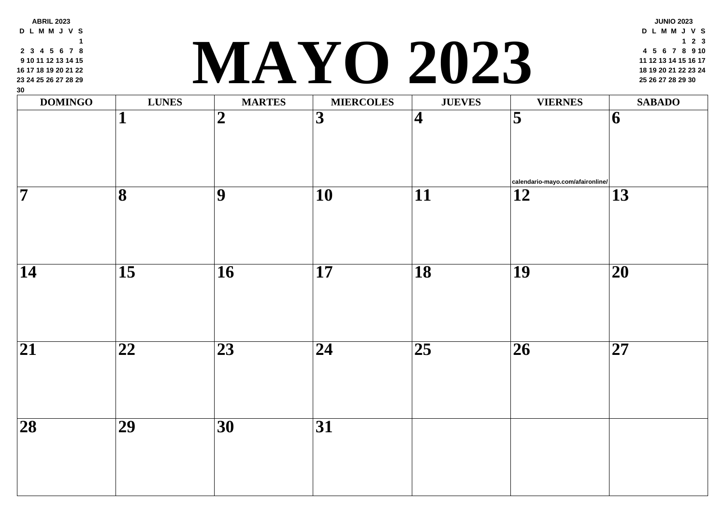| <b>DOMINGO</b>     | <b>LUNES</b>    | <b>MARTES</b>  | <b>MIERCOLES</b>        | <b>JUEVES</b>           |                     |
|--------------------|-----------------|----------------|-------------------------|-------------------------|---------------------|
|                    |                 | $\overline{2}$ | $\overline{\mathbf{3}}$ | $\overline{\mathbf{4}}$ | $\overline{\bf{5}}$ |
| $\overline{\bf 7}$ | 8               | 9              | <b>10</b>               | 11                      | calen<br>12         |
|                    |                 |                |                         |                         |                     |
| 14                 | $\overline{15}$ | 16             | 17                      | $\overline{18}$         | 19                  |
| 21                 | 22              | 23             | 24                      | $\overline{25}$         | $\overline{26}$     |
| 28                 | 29              | <b>30</b>      | <b>31</b>               |                         |                     |

**ABRIL 2023 D L M M J V S**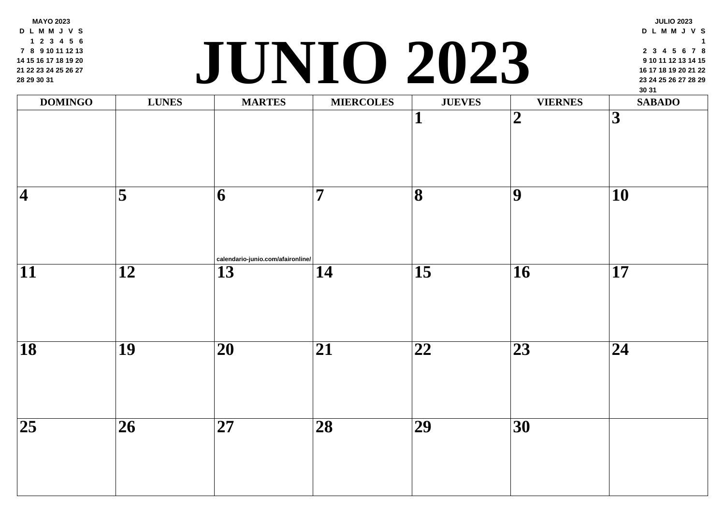| <b>MARTES</b><br><b>MIERCOLES</b><br><b>DOMINGO</b><br><b>LUNES</b><br><b>JUEVES</b><br>$\overline{2}$<br>┸<br>5<br>7<br>8<br>9<br>$\overline{\mathbf{4}}$<br>6 | 1 2 3 4 5 6<br>7 8 9 10 11 12 13<br>14 15 16 17 18 19 20<br>21 22 23 24 25 26 27<br>28 29 30 31 | JUNIO 2023 |  |                |  |
|-----------------------------------------------------------------------------------------------------------------------------------------------------------------|-------------------------------------------------------------------------------------------------|------------|--|----------------|--|
|                                                                                                                                                                 |                                                                                                 |            |  |                |  |
|                                                                                                                                                                 |                                                                                                 |            |  |                |  |
|                                                                                                                                                                 |                                                                                                 |            |  |                |  |
| calendario-junio.com/afaironline/                                                                                                                               |                                                                                                 |            |  |                |  |
| 11<br>15<br>12<br>13<br>14                                                                                                                                      |                                                                                                 |            |  | 16             |  |
| 18<br>19<br><b>20</b><br>21<br>22                                                                                                                               |                                                                                                 |            |  | 2 <sup>3</sup> |  |
|                                                                                                                                                                 |                                                                                                 |            |  |                |  |
| <b>25</b><br><b>26</b><br><b>27</b><br><b>28</b><br>29                                                                                                          |                                                                                                 |            |  | <b>30</b>      |  |
|                                                                                                                                                                 |                                                                                                 |            |  |                |  |

**MAYO 2023 D L M M J V S 2 3 4 5 6 8 9 10 11 12 13 15 16 17 18 19 20 22 23 24 25 26 27**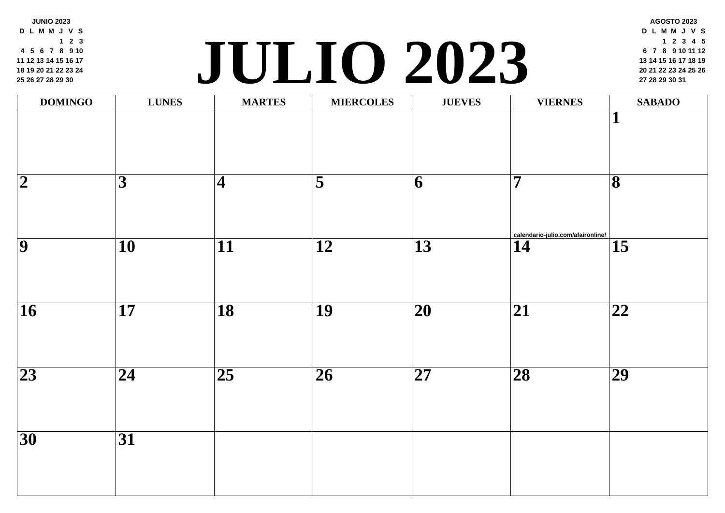| 25 26 27 28 29 30<br>$\bullet$<br><u>До 1</u><br>$\mathbf{v}$ and $\mathbf{v}$ |                 |                 |                         |                          |                         |  |
|--------------------------------------------------------------------------------|-----------------|-----------------|-------------------------|--------------------------|-------------------------|--|
| <b>DOMINGO</b>                                                                 | <b>LUNES</b>    | <b>MARTES</b>   | <b>MIERCOLES</b>        | <b>JUEVES</b>            |                         |  |
| $\overline{\mathbf{2}}$                                                        | $\overline{3}$  | $\overline{4}$  | $\overline{\mathbf{5}}$ | $\overline{6}$           | $\overline{\mathbf{7}}$ |  |
| $\overline{9}$                                                                 | $\overline{10}$ | $\overline{11}$ | $\overline{12}$         | $\overline{13}$          | $rac{\text{caler}}{14}$ |  |
| $\overline{16}$                                                                | $\overline{17}$ | $\overline{18}$ | $\overline{19}$         | $\overline{\mathbf{20}}$ | $\overline{21}$         |  |
| $\overline{23}$                                                                | $\overline{24}$ | $\overline{25}$ | $\overline{26}$         | $\overline{27}$          | $\overline{28}$         |  |
| $\overline{30}$                                                                | $\overline{31}$ |                 |                         |                          |                         |  |
|                                                                                |                 |                 |                         |                          |                         |  |

**JUNIO 2023 D L M M J V S 2 3 5 6 7 8 9 10 12 13 14 15 16 17 19 20 21 22 23 24**

## **<sup>20</sup> <sup>21</sup> <sup>22</sup> <sup>23</sup> <sup>24</sup> <sup>25</sup> <sup>26</sup> JULIO 202[3](http://calendario-julio.com/afaironline/) <sup>27</sup> <sup>28</sup> <sup>29</sup> <sup>30</sup> <sup>31</sup>**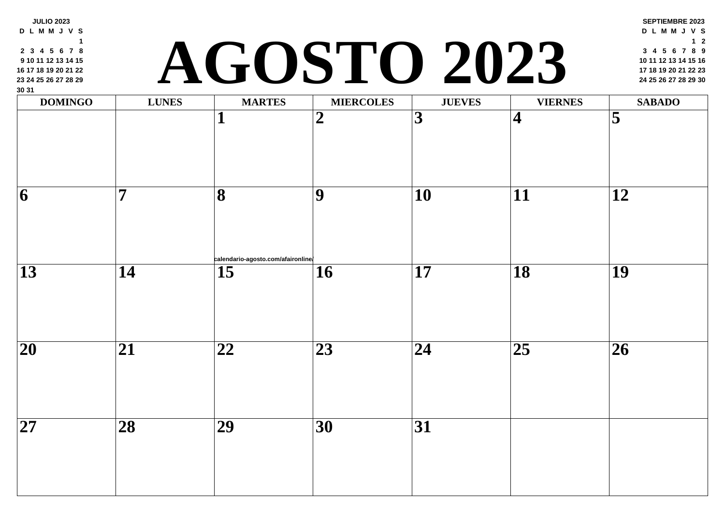| 30 31<br><b>DOMINGO</b> | <b>LUNES</b>    | <b>MARTES</b>                            | AGOSTO 202<br><b>MIERCOLES</b> | <b>JUEVES</b>           |                         |
|-------------------------|-----------------|------------------------------------------|--------------------------------|-------------------------|-------------------------|
|                         |                 |                                          | $\boldsymbol{2}$               | $\overline{\mathbf{3}}$ | $\overline{\mathbf{4}}$ |
| 6                       | 7               | 8                                        | 9                              | 10                      |                         |
| 13                      | 14              | calendario-agosto.com/afaironline/<br>15 | 16                             | 17                      | 18                      |
| 20                      | 21              | 22                                       | 23                             | 24                      | 25                      |
| <b>27</b>               | $\overline{28}$ | $\overline{29}$                          | $\overline{30}$                | $\overline{31}$         |                         |

**JULIO 2023 D L M M J V S 3 4 5 6 7 8**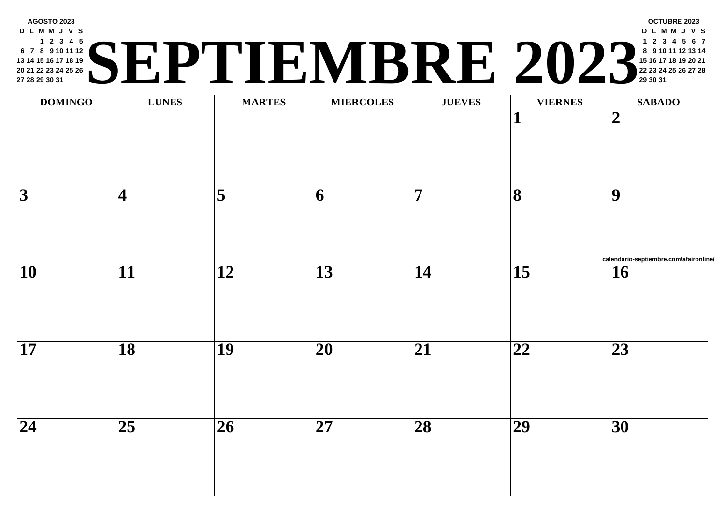| <b>AGOSTO 2023</b><br><b>DLMMJVS</b><br>1 2 3 4 5<br>) I<br>6 7 8 9 10 11 12<br>13 14 15 16 17 18 19<br>20 21 22 23 24 25 26<br>27 28 29 30 31 |
|------------------------------------------------------------------------------------------------------------------------------------------------|
|------------------------------------------------------------------------------------------------------------------------------------------------|

| <b>DOMINGO</b>           | <b>LUNES</b>               | <b>MARTES</b>       | <b>MIERCOLES</b> | <b>JUEVES</b>           |                          |
|--------------------------|----------------------------|---------------------|------------------|-------------------------|--------------------------|
|                          |                            |                     |                  |                         | $\overline{\mathbf{1}}$  |
| $\overline{3}$           | $\overline{\mathbf{4}}$    | $\overline{\bf{5}}$ | $\overline{6}$   | $\overline{\mathbf{7}}$ | $\overline{\mathbf{8}}$  |
| $\overline{\mathbf{10}}$ | $\overline{11}$            | $\overline{12}$     | $\overline{13}$  | $\overline{14}$         | $\overline{15}$          |
| $\overline{\mathbf{17}}$ | $\overline{18}$            | $\overline{19}$     | $\overline{20}$  | $\overline{21}$         | $\overline{\mathbf{22}}$ |
| $\overline{24}$          | $\overline{\overline{25}}$ | $\overline{26}$     | $\overline{27}$  | $\overline{28}$         | $\overline{29}$          |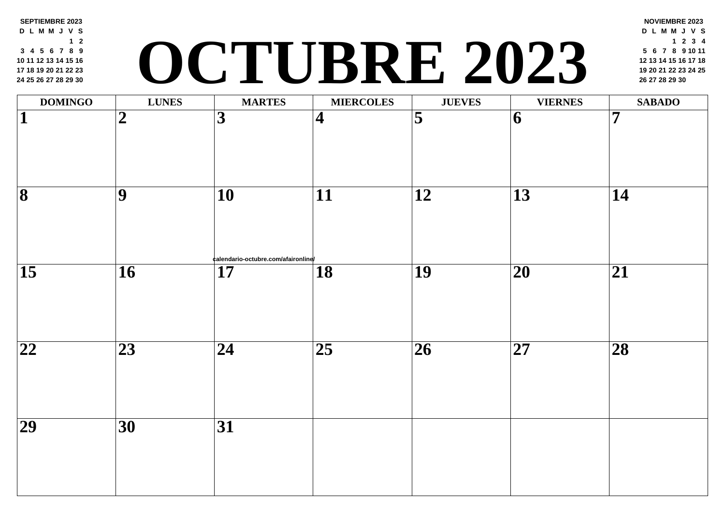### **SEPTIEMBRE 2023 D L M M J V S 2 4 5 6 7 8 9 11 12 13 14 15 16 18 19 20 21 22 23 25 26 27 28 29 30 <sup>19</sup> <sup>20</sup> <sup>21</sup> <sup>22</sup> <sup>23</sup> <sup>24</sup> <sup>25</sup> O[CTU](http://calendario-octubre.com/afaironline/)BRE 2023 <sup>26</sup> <sup>27</sup> <sup>28</sup> <sup>29</sup> <sup>30</sup>**

| <b>DOMINGO</b>           | <b>LUNES</b>    | <b>MARTES</b>                                         | <b>MIERCOLES</b>        | <b>JUEVES</b>           |                 |
|--------------------------|-----------------|-------------------------------------------------------|-------------------------|-------------------------|-----------------|
| $\overline{\mathbf{1}}$  | $\overline{2}$  | $\overline{\mathbf{3}}$                               | $\overline{\mathbf{4}}$ | $\overline{\mathbf{5}}$ | $\overline{6}$  |
| $\overline{\mathbf{8}}$  | $\overline{9}$  | $\overline{10}$<br>¢alendario-octubre.com/afaironline | $\overline{11}$         | $\overline{12}$         | $\overline{13}$ |
| $\overline{15}$          | $\overline{16}$ | $\overline{17}$                                       | $\overline{18}$         | $\overline{19}$         | $\overline{20}$ |
| $\overline{\mathbf{22}}$ | $\overline{23}$ | $\overline{24}$                                       | $\overline{25}$         | $\overline{26}$         | $\overline{27}$ |
| $\overline{29}$          | $\overline{30}$ | $\overline{31}$                                       |                         |                         |                 |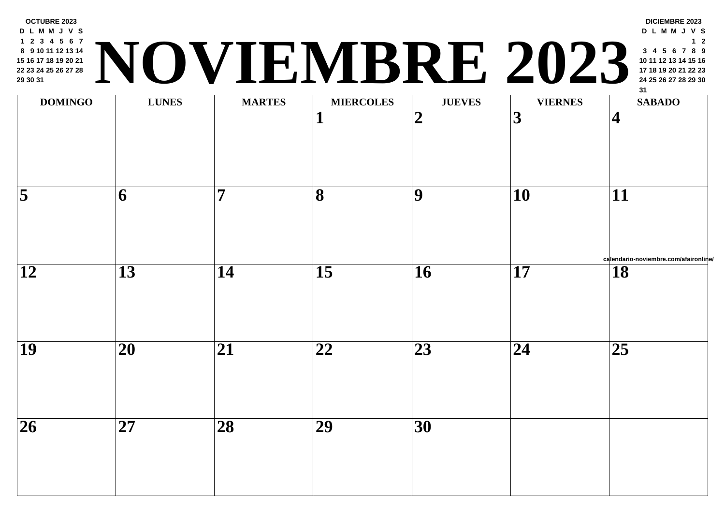| <b>DOMINGO</b>      | <b>LUNES</b>    | <b>MARTES</b>           | <b>MIERCOLES</b>        | <b>JUEVES</b>            |                          |
|---------------------|-----------------|-------------------------|-------------------------|--------------------------|--------------------------|
|                     |                 |                         | 1                       | $\overline{\mathbf{2}}$  | $\overline{\mathbf{3}}$  |
| $\overline{\bf{5}}$ | $\overline{6}$  | $\overline{\mathbf{7}}$ | $\overline{\mathbf{8}}$ | $\overline{9}$           | $\overline{10}$          |
| $\overline{12}$     | $\overline{13}$ | $\overline{14}$         | $\overline{15}$         | $\overline{\mathbf{16}}$ | $\overline{17}$          |
| $\overline{19}$     | $\overline{20}$ | $\overline{21}$         | $\overline{22}$         | $\overline{23}$          | $\overline{\mathbf{24}}$ |
| $\overline{26}$     | $\overline{27}$ | $\overline{28}$         | $\overline{29}$         | $\overline{30}$          |                          |
|                     |                 |                         |                         |                          |                          |

**D L M M J V S 2 3 4 5 6 7 9 10 11 12 13 14 16 17 18 19 20 21 23 24 25 26 27 28**

**OCTUBRE 2023 <sup>24</sup> <sup>25</sup> <sup>26</sup> <sup>27</sup> <sup>28</sup> <sup>29</sup> <sup>30</sup> NOVIEMBRE 202[3](http://calendario-noviembre.com/afaironline/)**